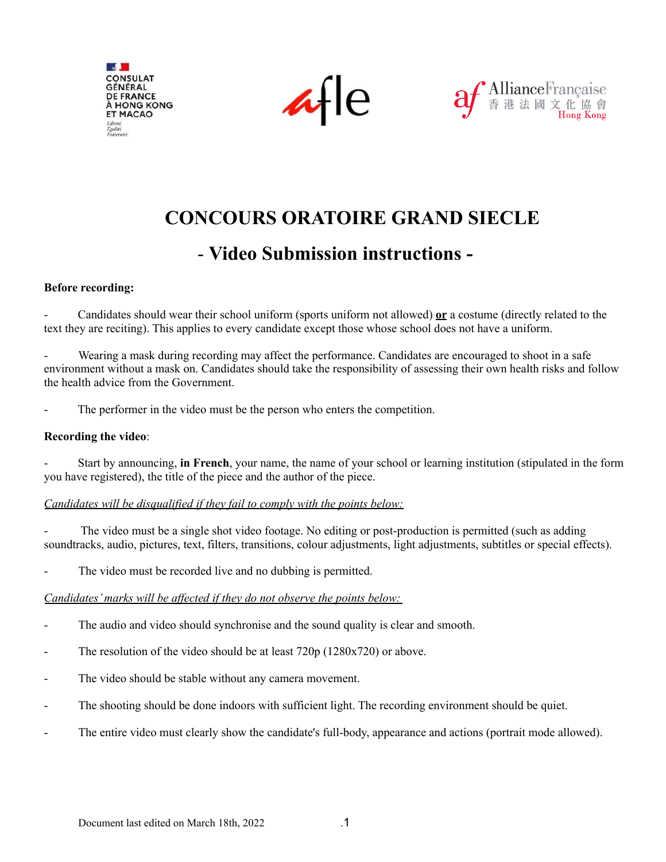

 $\kappa$ -le



# **CONCOURS ORATOIRE GRAND SIECLE**

# - **Video Submission instructions -**

## **Before recording:**

- Candidates should wear their school uniform (sports uniform not allowed) **or** a costume (directly related to the text they are reciting). This applies to every candidate except those whose school does not have a uniform.

Wearing a mask during recording may affect the performance. Candidates are encouraged to shoot in a safe environment without a mask on. Candidates should take the responsibility of assessing their own health risks and follow the health advice from the Government.

The performer in the video must be the person who enters the competition.

#### **Recording the video**:

- Start by announcing, **in French**, your name, the name of your school or learning institution (stipulated in the form you have registered), the title of the piece and the author of the piece.

## *Candidates will be disqualified if they fail to comply with the points below:*

The video must be a single shot video footage. No editing or post-production is permitted (such as adding soundtracks, audio, pictures, text, filters, transitions, colour adjustments, light adjustments, subtitles or special effects).

The video must be recorded live and no dubbing is permitted.

## *Candidates'marks will be af ected if they do not observe the points below:*

- The audio and video should synchronise and the sound quality is clear and smooth.
- The resolution of the video should be at least  $720p(1280x720)$  or above.
- The video should be stable without any camera movement.
- The shooting should be done indoors with sufficient light. The recording environment should be quiet.
- The entire video must clearly show the candidate's full-body, appearance and actions (portrait mode allowed).